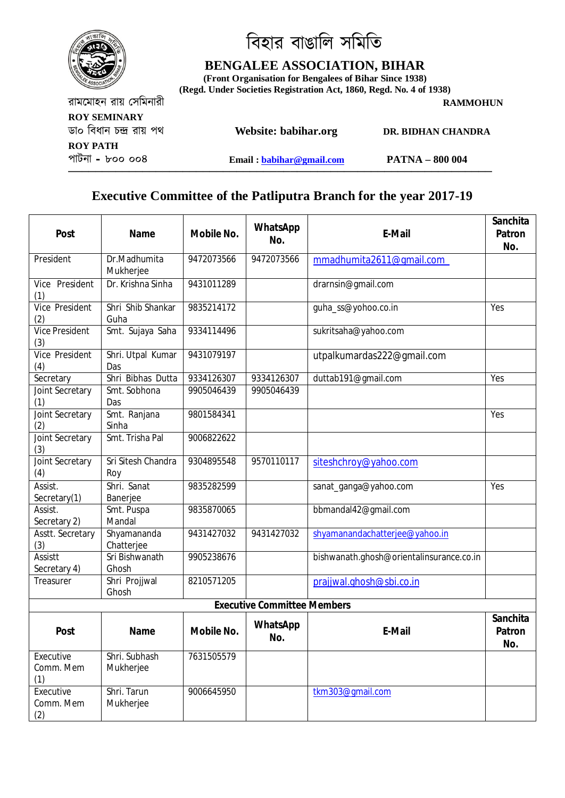

**ROY PATH**

বিহার বাঙালি সমিতি

## **BENGALEE ASSOCIATION, BIHAR**

**(Front Organisation for Bengalees of Bihar Since 1938) (Regd. Under Societies Registration Act, 1860, Regd. No. 4 of 1938)**

রামেমাহন রায় Ʊসিমনারী **RAMMOHUN ROY SEMINARY**

ডা০ িবধান চģ রায় পথ **Website: babihar.org DR. BIDHAN CHANDRA** 

পাটনা **–** ৮০০ ০০৪ **Email : babihar@gmail.com PATNA – 800 004**

## **Executive Committee of the Patliputra Branch for the year 2017-19**

**───────────────────────────────────────────────────────────────**

| <b>Post</b>                   | <b>Name</b>                        | <b>Mobile No.</b> | <b>WhatsApp</b><br>No. | <b>E-Mail</b>                            | <b>Sanchita</b><br><b>Patron</b><br>No. |  |  |  |
|-------------------------------|------------------------------------|-------------------|------------------------|------------------------------------------|-----------------------------------------|--|--|--|
| President                     | Dr.Madhumita<br>Mukherjee          | 9472073566        | 9472073566             | mmadhumita2611@qmail.com                 |                                         |  |  |  |
| Vice President<br>(1)         | Dr. Krishna Sinha                  | 9431011289        |                        | drarnsin@gmail.com                       |                                         |  |  |  |
| <b>Vice President</b><br>(2)  | Shri Shib Shankar<br>Guha          | 9835214172        |                        | guha_ss@yohoo.co.in                      | Yes                                     |  |  |  |
| <b>Vice President</b><br>(3)  | Smt. Sujaya Saha                   | 9334114496        |                        | sukritsaha@yahoo.com                     |                                         |  |  |  |
| <b>Vice President</b><br>(4)  | Shri. Utpal Kumar<br>Das           | 9431079197        |                        | utpalkumardas222@gmail.com               |                                         |  |  |  |
| Secretary                     | Shri Bibhas Dutta                  | 9334126307        | 9334126307             | duttab191@gmail.com                      | Yes                                     |  |  |  |
| Joint Secretary<br>(1)        | Smt. Sobhona<br>Das                | 9905046439        | 9905046439             |                                          |                                         |  |  |  |
| Joint Secretary<br>(2)        | Smt. Ranjana<br>Sinha              | 9801584341        |                        |                                          | Yes                                     |  |  |  |
| Joint Secretary<br>(3)        | Smt. Trisha Pal                    | 9006822622        |                        |                                          |                                         |  |  |  |
| Joint Secretary<br>(4)        | Sri Sitesh Chandra<br>Roy          | 9304895548        | 9570110117             | siteshchroy@yahoo.com                    |                                         |  |  |  |
| Assist.<br>Secretary(1)       | Shri. Sanat<br>Banerjee            | 9835282599        |                        | sanat_ganga@yahoo.com                    | Yes                                     |  |  |  |
| Assist.<br>Secretary 2)       | Smt. Puspa<br>Mandal               | 9835870065        |                        | bbmandal42@gmail.com                     |                                         |  |  |  |
| Asstt. Secretary<br>(3)       | Shyamananda<br>Chatterjee          | 9431427032        | 9431427032             | shyamanandachatterjee@yahoo.in           |                                         |  |  |  |
| Assistt<br>Secretary 4)       | Sri Bishwanath<br>Ghosh            | 9905238676        |                        | bishwanath.ghosh@orientalinsurance.co.in |                                         |  |  |  |
| Treasurer                     | Shri Projjwal<br>Ghosh             | 8210571205        |                        | prajjwal.ghosh@sbi.co.in                 |                                         |  |  |  |
|                               | <b>Executive Committee Members</b> |                   |                        |                                          |                                         |  |  |  |
| <b>Post</b>                   | <b>Name</b>                        | Mobile No.        | <b>WhatsApp</b><br>No. | <b>E-Mail</b>                            | <b>Sanchita</b><br><b>Patron</b><br>No. |  |  |  |
| Executive<br>Comm. Mem<br>(1) | Shri. Subhash<br>Mukherjee         | 7631505579        |                        |                                          |                                         |  |  |  |
| Executive<br>Comm. Mem<br>(2) | Shri. Tarun<br>Mukherjee           | 9006645950        |                        | tkm303@gmail.com                         |                                         |  |  |  |